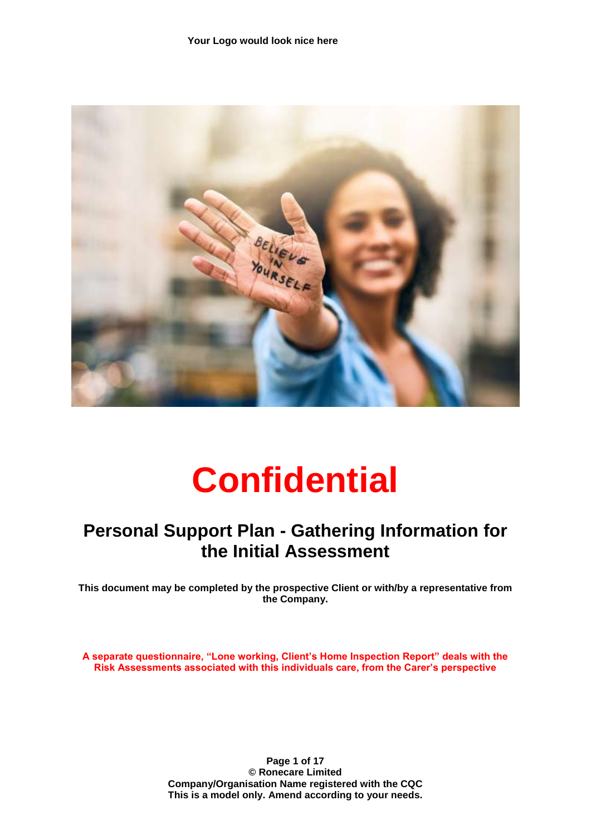

# **Confidential**

### **Personal Support Plan - Gathering Information for the Initial Assessment**

**This document may be completed by the prospective Client or with/by a representative from the Company.**

**A separate questionnaire, "Lone working, Client's Home Inspection Report" deals with the Risk Assessments associated with this individuals care, from the Carer's perspective** 

> **Page 1 of 17 © Ronecare Limited Company/Organisation Name registered with the CQC This is a model only. Amend according to your needs.**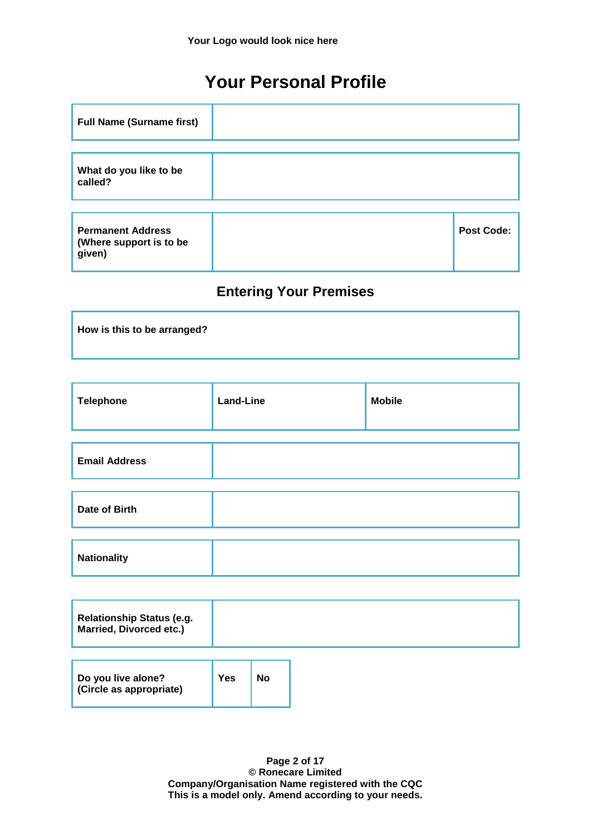### **Your Personal Profile**

| <b>Full Name (Surname first)</b>                              |                   |
|---------------------------------------------------------------|-------------------|
| What do you like to be                                        |                   |
| called?                                                       |                   |
| <b>Permanent Address</b><br>(Where support is to be<br>given) | <b>Post Code:</b> |

### **Entering Your Premises**

| How is this to be arranged? |  |  |
|-----------------------------|--|--|
|                             |  |  |

| <b>Telephone</b>     | <b>Land-Line</b> | <b>Mobile</b> |
|----------------------|------------------|---------------|
|                      |                  |               |
| <b>Email Address</b> |                  |               |
| Date of Birth        |                  |               |
|                      |                  |               |
| <b>Nationality</b>   |                  |               |
|                      |                  |               |

| <b>Relationship Status (e.g.</b><br>Married, Divorced etc.) |  |  |  |
|-------------------------------------------------------------|--|--|--|
|                                                             |  |  |  |
|                                                             |  |  |  |

| Do you live alone?<br>(Circle as appropriate) | $ $ Yes | <b>No</b> |
|-----------------------------------------------|---------|-----------|
|                                               |         |           |

**Page 2 of 17 © Ronecare Limited Company/Organisation Name registered with the CQC This is a model only. Amend according to your needs.**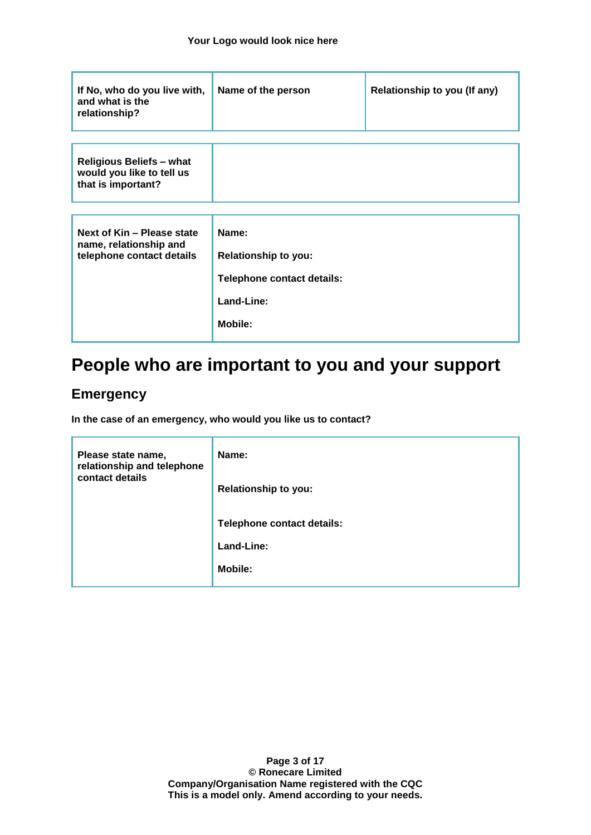| If No, who do you live with,<br>and what is the<br>relationship?                   | Name of the person                                                                                 | Relationship to you (If any) |
|------------------------------------------------------------------------------------|----------------------------------------------------------------------------------------------------|------------------------------|
| <b>Religious Beliefs - what</b><br>would you like to tell us<br>that is important? |                                                                                                    |                              |
| Next of Kin - Please state<br>name, relationship and<br>telephone contact details  | Name:<br><b>Relationship to you:</b><br>Telephone contact details:<br>Land-Line:<br><b>Mobile:</b> |                              |

### **People who are important to you and your support**

#### **Emergency**

**In the case of an emergency, who would you like us to contact?**

| Please state name,<br>relationship and telephone<br>contact details | Name:<br><b>Relationship to you:</b>                       |
|---------------------------------------------------------------------|------------------------------------------------------------|
|                                                                     | Telephone contact details:<br>Land-Line:<br><b>Mobile:</b> |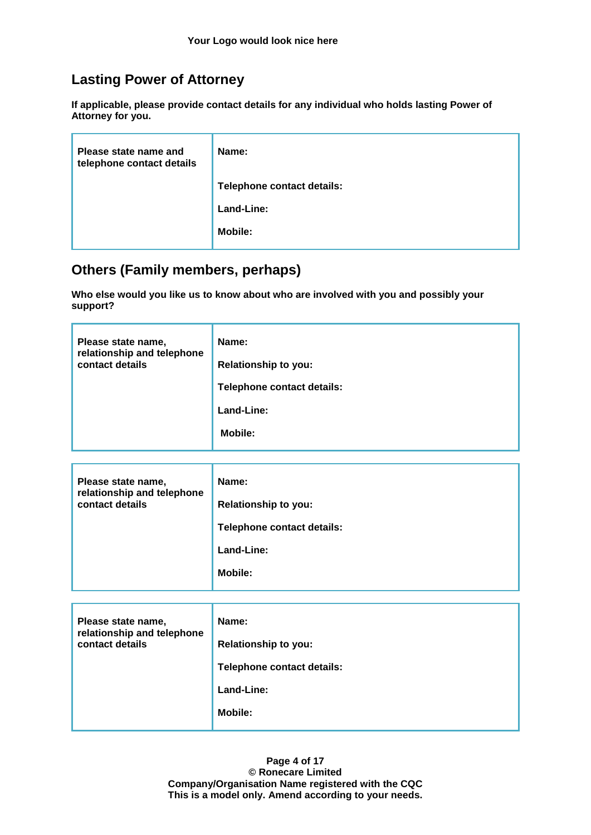#### **Lasting Power of Attorney**

**If applicable, please provide contact details for any individual who holds lasting Power of Attorney for you.**

| Please state name and<br>telephone contact details | Name:                      |
|----------------------------------------------------|----------------------------|
|                                                    | Telephone contact details: |
|                                                    | Land-Line:                 |
|                                                    | <b>Mobile:</b>             |
|                                                    |                            |

#### **Others (Family members, perhaps)**

**Who else would you like us to know about who are involved with you and possibly your support?**

| Please state name,<br>relationship and telephone | Name:                       |
|--------------------------------------------------|-----------------------------|
| contact details                                  | <b>Relationship to you:</b> |
|                                                  | Telephone contact details:  |
|                                                  | Land-Line:                  |
|                                                  | <b>Mobile:</b>              |

| Please state name,<br>relationship and telephone | Name:                       |
|--------------------------------------------------|-----------------------------|
| contact details                                  | <b>Relationship to you:</b> |
|                                                  | Telephone contact details:  |
|                                                  | Land-Line:                  |
|                                                  | <b>Mobile:</b>              |

| Please state name,<br>relationship and telephone<br>contact details | Name:<br><b>Relationship to you:</b><br>Telephone contact details:<br>Land-Line:<br><b>Mobile:</b> |
|---------------------------------------------------------------------|----------------------------------------------------------------------------------------------------|
|                                                                     |                                                                                                    |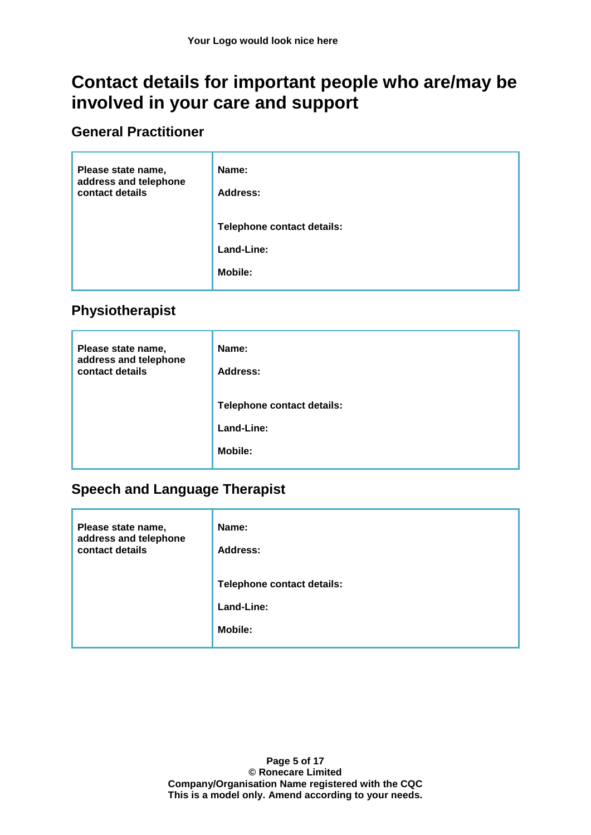### **Contact details for important people who are/may be involved in your care and support**

#### **General Practitioner**

| Please state name,<br>address and telephone<br>contact details | Name:<br>Address:          |
|----------------------------------------------------------------|----------------------------|
|                                                                | Telephone contact details: |
|                                                                | Land-Line:                 |
|                                                                | <b>Mobile:</b>             |

#### **Physiotherapist**

| Please state name,<br>address and telephone<br>contact details | Name:<br>Address:          |
|----------------------------------------------------------------|----------------------------|
|                                                                | Telephone contact details: |
|                                                                | Land-Line:                 |
|                                                                | <b>Mobile:</b>             |

#### **Speech and Language Therapist**

| Please state name,<br>address and telephone<br>contact details | Name:<br><b>Address:</b>   |  |  |
|----------------------------------------------------------------|----------------------------|--|--|
|                                                                | Telephone contact details: |  |  |
|                                                                | Land-Line:                 |  |  |
|                                                                | <b>Mobile:</b>             |  |  |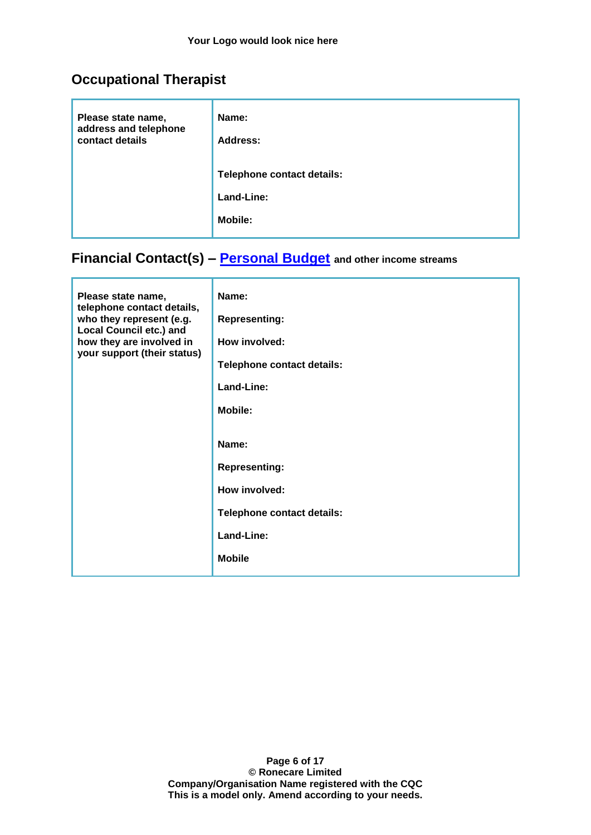#### **Occupational Therapist**

| Please state name,<br>address and telephone<br>contact details | Name:<br><b>Address:</b>   |  |  |
|----------------------------------------------------------------|----------------------------|--|--|
|                                                                | Telephone contact details: |  |  |
|                                                                | Land-Line:                 |  |  |
|                                                                | <b>Mobile:</b>             |  |  |

### **Financial Contact(s) – [Personal Budget](https://www.disabilityrightsuk.org/personal-budgetsthe-right-social-care-support) and other income streams**

| Please state name,<br>telephone contact details,<br>who they represent (e.g.<br><b>Local Council etc.) and</b><br>how they are involved in<br>your support (their status) | Name:<br><b>Representing:</b><br>How involved:<br>Telephone contact details:<br>Land-Line:<br><b>Mobile:</b><br>Name:<br><b>Representing:</b><br>How involved:<br>Telephone contact details:<br>Land-Line: |
|---------------------------------------------------------------------------------------------------------------------------------------------------------------------------|------------------------------------------------------------------------------------------------------------------------------------------------------------------------------------------------------------|
|                                                                                                                                                                           | <b>Mobile</b>                                                                                                                                                                                              |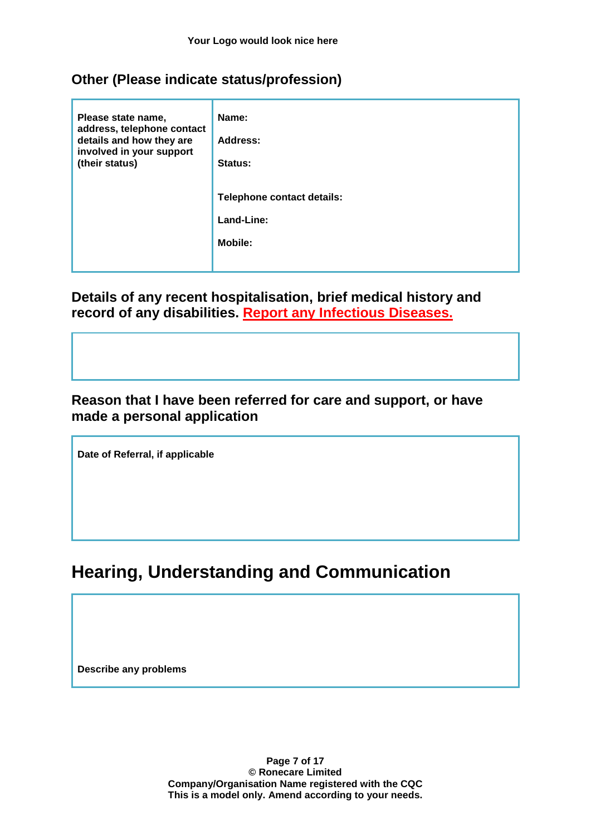#### **Other (Please indicate status/profession)**

| Please state name,<br>address, telephone contact<br>details and how they are<br>involved in your support<br>(their status) | Name:<br>Address:<br>Status:                               |
|----------------------------------------------------------------------------------------------------------------------------|------------------------------------------------------------|
|                                                                                                                            | Telephone contact details:<br>Land-Line:<br><b>Mobile:</b> |
|                                                                                                                            |                                                            |

**Details of any recent hospitalisation, brief medical history and record of any disabilities. Report any Infectious Diseases.**

#### **Reason that I have been referred for care and support, or have made a personal application**

**Date of Referral, if applicable**

### **Hearing, Understanding and Communication**

**Describe any problems**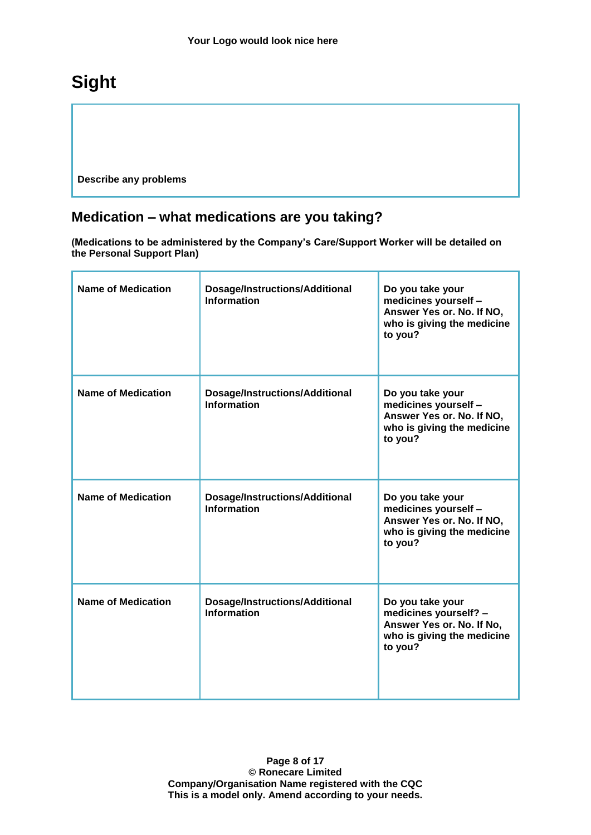# **Sight**

**Describe any problems**

### **Medication – what medications are you taking?**

**(Medications to be administered by the Company's Care/Support Worker will be detailed on the Personal Support Plan)**

| <b>Name of Medication</b> | Dosage/Instructions/Additional<br><b>Information</b>        | Do you take your<br>medicines yourself -<br>Answer Yes or. No. If NO,<br>who is giving the medicine<br>to you?  |
|---------------------------|-------------------------------------------------------------|-----------------------------------------------------------------------------------------------------------------|
| <b>Name of Medication</b> | Dosage/Instructions/Additional<br><b>Information</b>        | Do you take your<br>medicines yourself -<br>Answer Yes or. No. If NO,<br>who is giving the medicine<br>to you?  |
| <b>Name of Medication</b> | <b>Dosage/Instructions/Additional</b><br><b>Information</b> | Do you take your<br>medicines yourself -<br>Answer Yes or. No. If NO,<br>who is giving the medicine<br>to you?  |
| <b>Name of Medication</b> | <b>Dosage/Instructions/Additional</b><br><b>Information</b> | Do you take your<br>medicines yourself? -<br>Answer Yes or. No. If No,<br>who is giving the medicine<br>to you? |

**Page 8 of 17 © Ronecare Limited Company/Organisation Name registered with the CQC This is a model only. Amend according to your needs.**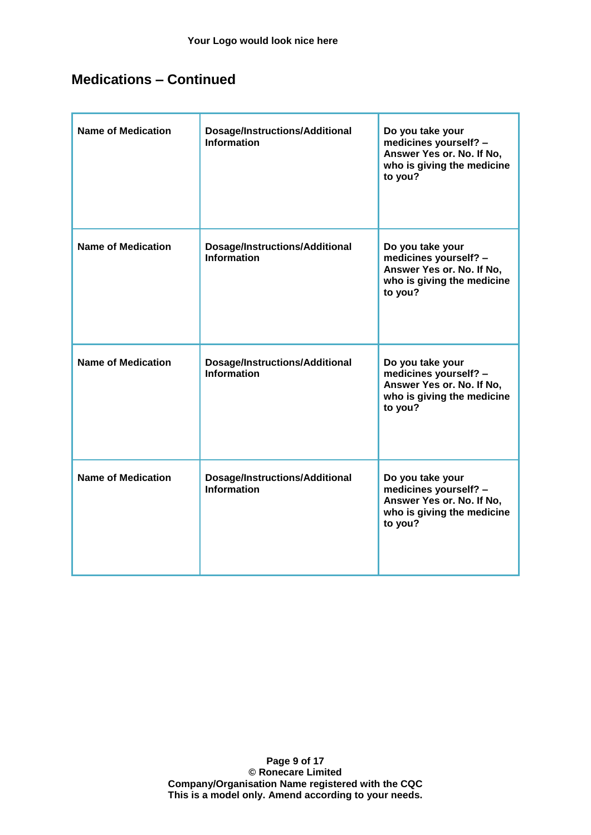#### **Medications – Continued**

| <b>Name of Medication</b> | <b>Dosage/Instructions/Additional</b><br><b>Information</b> | Do you take your<br>medicines yourself? -<br>Answer Yes or. No. If No,<br>who is giving the medicine<br>to you? |
|---------------------------|-------------------------------------------------------------|-----------------------------------------------------------------------------------------------------------------|
| <b>Name of Medication</b> | Dosage/Instructions/Additional<br><b>Information</b>        | Do you take your<br>medicines yourself? -<br>Answer Yes or. No. If No,<br>who is giving the medicine<br>to you? |
| <b>Name of Medication</b> | <b>Dosage/Instructions/Additional</b><br><b>Information</b> | Do you take your<br>medicines yourself? -<br>Answer Yes or. No. If No,<br>who is giving the medicine<br>to you? |
| <b>Name of Medication</b> | <b>Dosage/Instructions/Additional</b><br><b>Information</b> | Do you take your<br>medicines yourself? -<br>Answer Yes or. No. If No,<br>who is giving the medicine<br>to you? |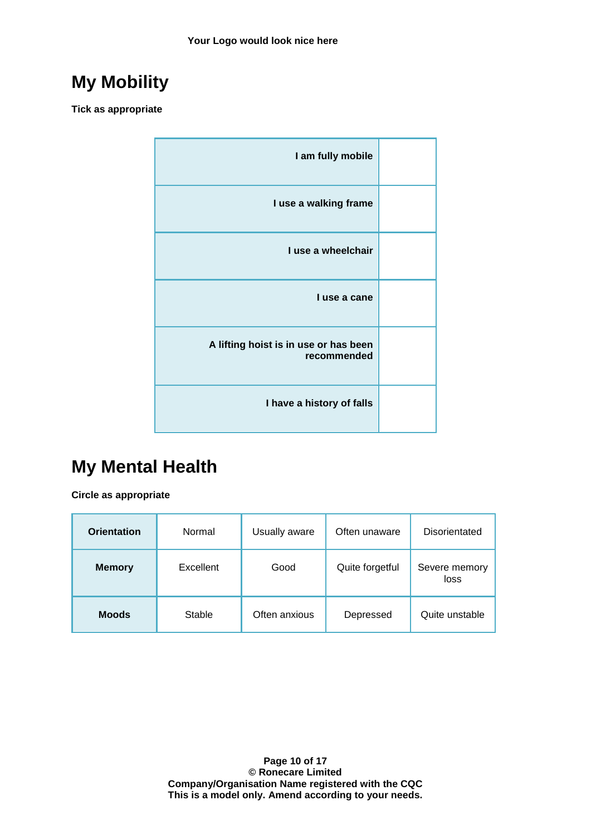# **My Mobility**

**Tick as appropriate**

| I am fully mobile                                    |  |
|------------------------------------------------------|--|
| I use a walking frame                                |  |
| I use a wheelchair                                   |  |
| I use a cane                                         |  |
| A lifting hoist is in use or has been<br>recommended |  |
| I have a history of falls                            |  |

# **My Mental Health**

**Circle as appropriate**

| <b>Orientation</b> | Normal    | Usually aware | Often unaware   | Disorientated         |
|--------------------|-----------|---------------|-----------------|-----------------------|
| <b>Memory</b>      | Excellent | Good          | Quite forgetful | Severe memory<br>loss |
| <b>Moods</b>       | Stable    | Often anxious | Depressed       | Quite unstable        |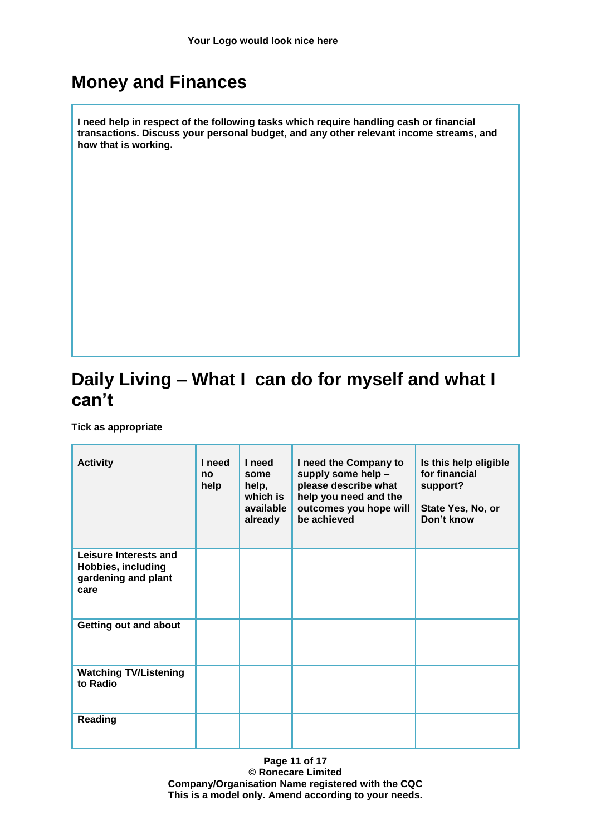### **Money and Finances**

**I need help in respect of the following tasks which require handling cash or financial transactions. Discuss your personal budget, and any other relevant income streams, and how that is working.**

## **Daily Living – What I can do for myself and what I can't**

**Tick as appropriate**

| <b>Activity</b>                                                                   | I need<br>no<br>help | I need<br>some<br>help,<br>which is<br>available<br>already | I need the Company to<br>supply some help -<br>please describe what<br>help you need and the<br>outcomes you hope will<br>be achieved | Is this help eligible<br>for financial<br>support?<br>State Yes, No, or<br>Don't know |
|-----------------------------------------------------------------------------------|----------------------|-------------------------------------------------------------|---------------------------------------------------------------------------------------------------------------------------------------|---------------------------------------------------------------------------------------|
| Leisure Interests and<br><b>Hobbies, including</b><br>gardening and plant<br>care |                      |                                                             |                                                                                                                                       |                                                                                       |
| <b>Getting out and about</b>                                                      |                      |                                                             |                                                                                                                                       |                                                                                       |
| <b>Watching TV/Listening</b><br>to Radio                                          |                      |                                                             |                                                                                                                                       |                                                                                       |
| <b>Reading</b>                                                                    |                      |                                                             |                                                                                                                                       |                                                                                       |

**Page 11 of 17 © Ronecare Limited Company/Organisation Name registered with the CQC This is a model only. Amend according to your needs.**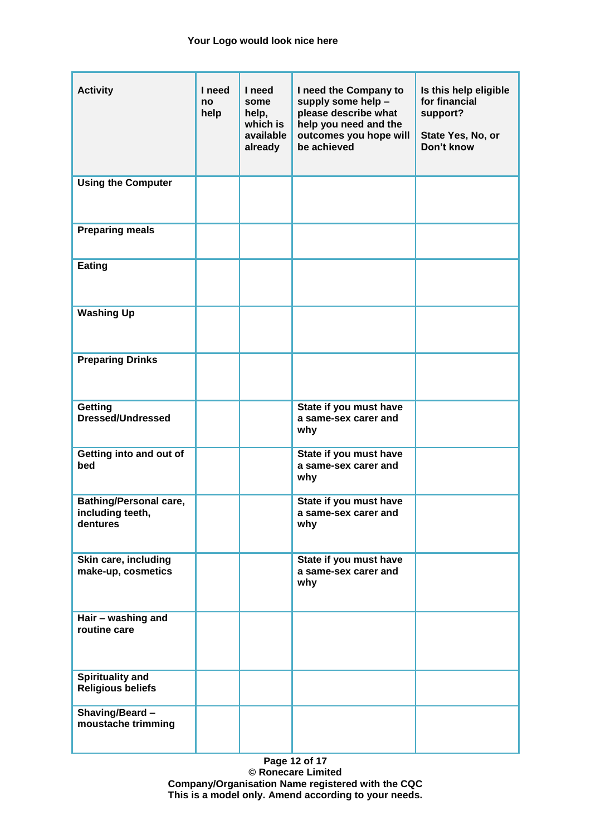| <b>Activity</b>                                               | I need<br>no<br>help | I need<br>some<br>help,<br>which is<br>available<br>already | I need the Company to<br>supply some help -<br>please describe what<br>help you need and the<br>outcomes you hope will<br>be achieved | Is this help eligible<br>for financial<br>support?<br>State Yes, No, or<br>Don't know |
|---------------------------------------------------------------|----------------------|-------------------------------------------------------------|---------------------------------------------------------------------------------------------------------------------------------------|---------------------------------------------------------------------------------------|
| <b>Using the Computer</b>                                     |                      |                                                             |                                                                                                                                       |                                                                                       |
| <b>Preparing meals</b>                                        |                      |                                                             |                                                                                                                                       |                                                                                       |
| <b>Eating</b>                                                 |                      |                                                             |                                                                                                                                       |                                                                                       |
| <b>Washing Up</b>                                             |                      |                                                             |                                                                                                                                       |                                                                                       |
| <b>Preparing Drinks</b>                                       |                      |                                                             |                                                                                                                                       |                                                                                       |
| Getting<br><b>Dressed/Undressed</b>                           |                      |                                                             | State if you must have<br>a same-sex carer and<br>why                                                                                 |                                                                                       |
| Getting into and out of<br>bed                                |                      |                                                             | State if you must have<br>a same-sex carer and<br>why                                                                                 |                                                                                       |
| <b>Bathing/Personal care,</b><br>including teeth,<br>dentures |                      |                                                             | State if you must have<br>a same-sex carer and<br>why                                                                                 |                                                                                       |
| Skin care, including<br>make-up, cosmetics                    |                      |                                                             | State if you must have<br>a same-sex carer and<br>why                                                                                 |                                                                                       |
| Hair - washing and<br>routine care                            |                      |                                                             |                                                                                                                                       |                                                                                       |
| <b>Spirituality and</b><br><b>Religious beliefs</b>           |                      |                                                             |                                                                                                                                       |                                                                                       |
| Shaving/Beard -<br>moustache trimming                         |                      |                                                             |                                                                                                                                       |                                                                                       |

**Page 12 of 17 © Ronecare Limited Company/Organisation Name registered with the CQC This is a model only. Amend according to your needs.**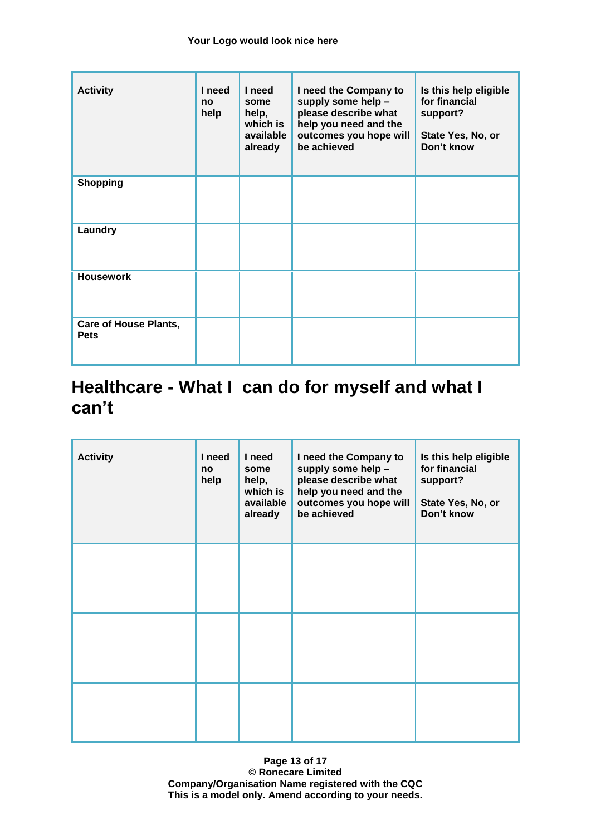| <b>Activity</b>                             | I need<br>no<br>help | I need<br>some<br>help,<br>which is<br>available<br>already | I need the Company to<br>supply some help -<br>please describe what<br>help you need and the<br>outcomes you hope will<br>be achieved | Is this help eligible<br>for financial<br>support?<br>State Yes, No, or<br>Don't know |
|---------------------------------------------|----------------------|-------------------------------------------------------------|---------------------------------------------------------------------------------------------------------------------------------------|---------------------------------------------------------------------------------------|
| <b>Shopping</b>                             |                      |                                                             |                                                                                                                                       |                                                                                       |
| Laundry                                     |                      |                                                             |                                                                                                                                       |                                                                                       |
| <b>Housework</b>                            |                      |                                                             |                                                                                                                                       |                                                                                       |
| <b>Care of House Plants,</b><br><b>Pets</b> |                      |                                                             |                                                                                                                                       |                                                                                       |

### **Healthcare - What I can do for myself and what I can't**

| <b>Activity</b> | I need<br>no<br>help | I need<br>some<br>help,<br>which is<br>available<br>already | I need the Company to<br>supply some help -<br>please describe what<br>help you need and the<br>outcomes you hope will<br>be achieved | Is this help eligible<br>for financial<br>support?<br>State Yes, No, or<br>Don't know |
|-----------------|----------------------|-------------------------------------------------------------|---------------------------------------------------------------------------------------------------------------------------------------|---------------------------------------------------------------------------------------|
|                 |                      |                                                             |                                                                                                                                       |                                                                                       |
|                 |                      |                                                             |                                                                                                                                       |                                                                                       |
|                 |                      |                                                             |                                                                                                                                       |                                                                                       |

**Page 13 of 17 © Ronecare Limited Company/Organisation Name registered with the CQC This is a model only. Amend according to your needs.**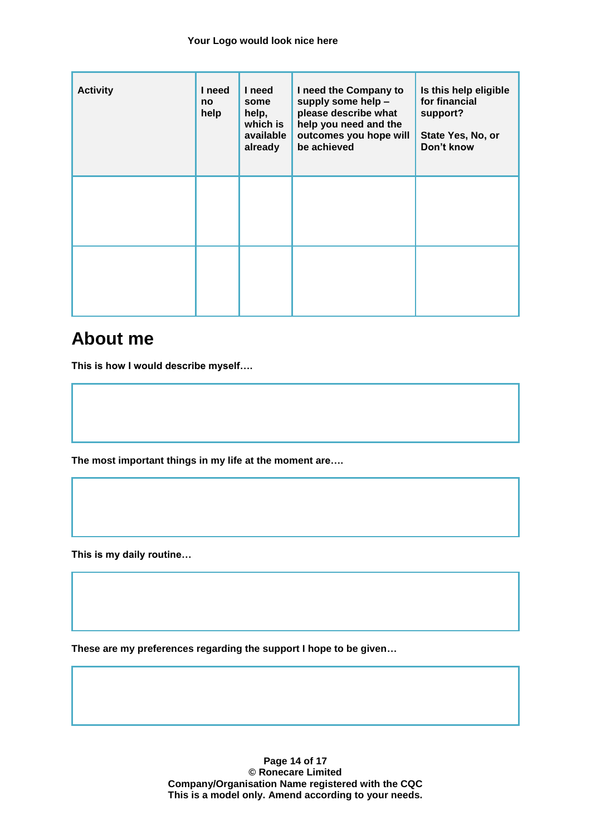| <b>Activity</b> | I need<br>no<br>help | I need<br>some<br>help,<br>which is<br>available<br>already | I need the Company to<br>supply some help -<br>please describe what<br>help you need and the<br>outcomes you hope will<br>be achieved | Is this help eligible<br>for financial<br>support?<br>State Yes, No, or<br>Don't know |
|-----------------|----------------------|-------------------------------------------------------------|---------------------------------------------------------------------------------------------------------------------------------------|---------------------------------------------------------------------------------------|
|                 |                      |                                                             |                                                                                                                                       |                                                                                       |
|                 |                      |                                                             |                                                                                                                                       |                                                                                       |

### **About me**

**This is how I would describe myself….**

**The most important things in my life at the moment are….**

**This is my daily routine…**

**These are my preferences regarding the support I hope to be given…**

**Page 14 of 17 © Ronecare Limited Company/Organisation Name registered with the CQC This is a model only. Amend according to your needs.**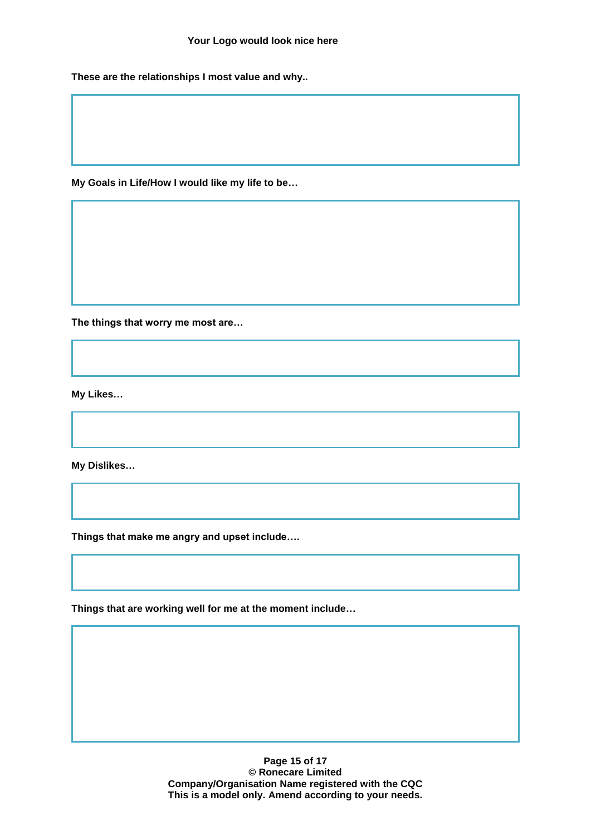**These are the relationships I most value and why..**

**My Goals in Life/How I would like my life to be…**

**The things that worry me most are…**

**My Likes…**

**My Dislikes…**

**Things that make me angry and upset include….**

**Things that are working well for me at the moment include…**

**Page 15 of 17 © Ronecare Limited Company/Organisation Name registered with the CQC This is a model only. Amend according to your needs.**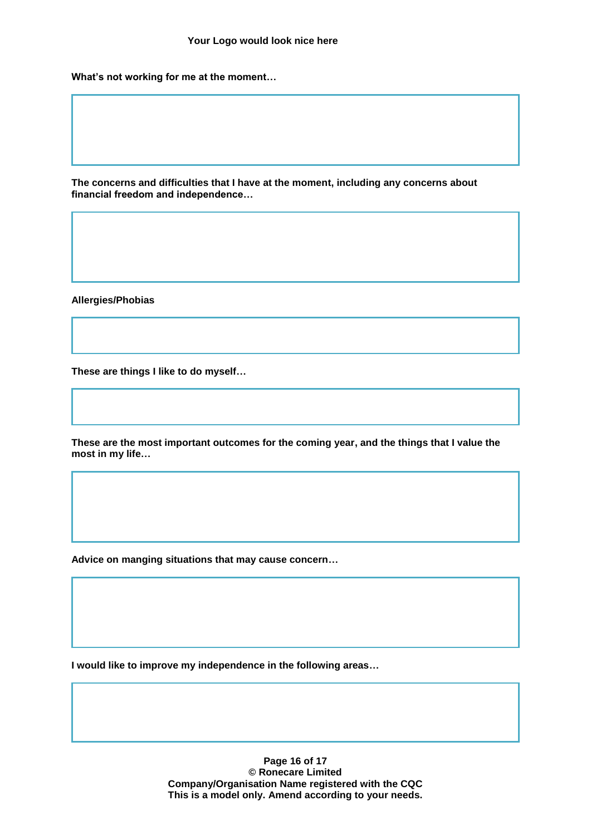**What's not working for me at the moment…**

**The concerns and difficulties that I have at the moment, including any concerns about financial freedom and independence…**

**Allergies/Phobias**

**These are things I like to do myself…**

**These are the most important outcomes for the coming year, and the things that I value the most in my life…**

**Advice on manging situations that may cause concern…**

**I would like to improve my independence in the following areas…**

**Page 16 of 17 © Ronecare Limited Company/Organisation Name registered with the CQC This is a model only. Amend according to your needs.**